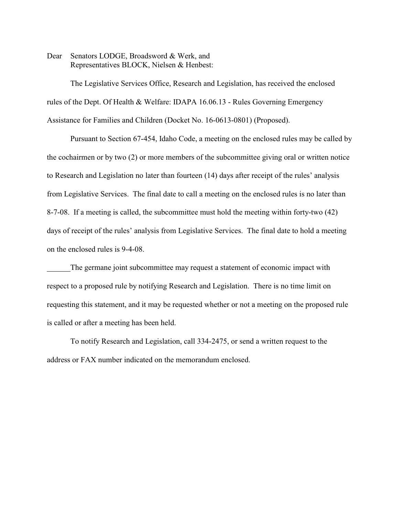Dear Senators LODGE, Broadsword & Werk, and Representatives BLOCK, Nielsen & Henbest:

The Legislative Services Office, Research and Legislation, has received the enclosed rules of the Dept. Of Health & Welfare: IDAPA 16.06.13 - Rules Governing Emergency Assistance for Families and Children (Docket No. 16-0613-0801) (Proposed).

Pursuant to Section 67-454, Idaho Code, a meeting on the enclosed rules may be called by the cochairmen or by two (2) or more members of the subcommittee giving oral or written notice to Research and Legislation no later than fourteen (14) days after receipt of the rules' analysis from Legislative Services. The final date to call a meeting on the enclosed rules is no later than 8-7-08. If a meeting is called, the subcommittee must hold the meeting within forty-two (42) days of receipt of the rules' analysis from Legislative Services. The final date to hold a meeting on the enclosed rules is 9-4-08.

The germane joint subcommittee may request a statement of economic impact with respect to a proposed rule by notifying Research and Legislation. There is no time limit on requesting this statement, and it may be requested whether or not a meeting on the proposed rule is called or after a meeting has been held.

To notify Research and Legislation, call 334-2475, or send a written request to the address or FAX number indicated on the memorandum enclosed.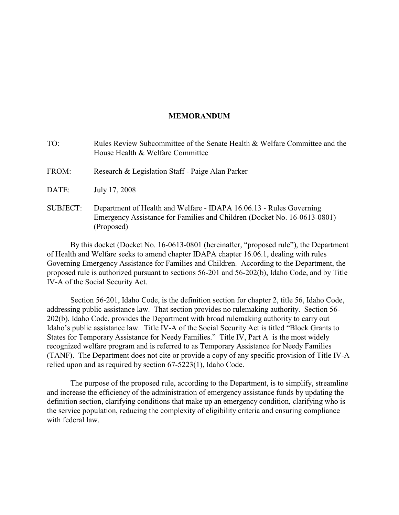#### **MEMORANDUM**

- TO: Rules Review Subcommittee of the Senate Health & Welfare Committee and the House Health & Welfare Committee
- FROM: Research & Legislation Staff Paige Alan Parker
- DATE: July 17, 2008
- SUBJECT: Department of Health and Welfare IDAPA 16.06.13 Rules Governing Emergency Assistance for Families and Children (Docket No. 16-0613-0801) (Proposed)

By this docket (Docket No. 16-0613-0801 (hereinafter, "proposed rule"), the Department of Health and Welfare seeks to amend chapter IDAPA chapter 16.06.1, dealing with rules Governing Emergency Assistance for Families and Children. According to the Department, the proposed rule is authorized pursuant to sections 56-201 and 56-202(b), Idaho Code, and by Title IV-A of the Social Security Act.

Section 56-201, Idaho Code, is the definition section for chapter 2, title 56, Idaho Code, addressing public assistance law. That section provides no rulemaking authority. Section 56- 202(b), Idaho Code, provides the Department with broad rulemaking authority to carry out Idaho's public assistance law. Title IV-A of the Social Security Act is titled "Block Grants to States for Temporary Assistance for Needy Families." Title IV, Part A is the most widely recognized welfare program and is referred to as Temporary Assistance for Needy Families (TANF). The Department does not cite or provide a copy of any specific provision of Title IV-A relied upon and as required by section 67-5223(1), Idaho Code.

The purpose of the proposed rule, according to the Department, is to simplify, streamline and increase the efficiency of the administration of emergency assistance funds by updating the definition section, clarifying conditions that make up an emergency condition, clarifying who is the service population, reducing the complexity of eligibility criteria and ensuring compliance with federal law.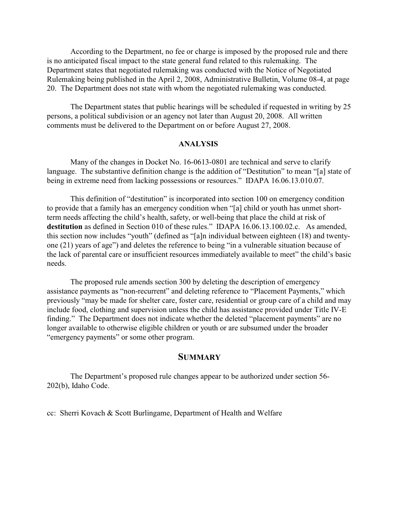According to the Department, no fee or charge is imposed by the proposed rule and there is no anticipated fiscal impact to the state general fund related to this rulemaking. The Department states that negotiated rulemaking was conducted with the Notice of Negotiated Rulemaking being published in the April 2, 2008, Administrative Bulletin, Volume 08-4, at page 20. The Department does not state with whom the negotiated rulemaking was conducted.

The Department states that public hearings will be scheduled if requested in writing by 25 persons, a political subdivision or an agency not later than August 20, 2008. All written comments must be delivered to the Department on or before August 27, 2008.

#### **ANALYSIS**

Many of the changes in Docket No. 16-0613-0801 are technical and serve to clarify language. The substantive definition change is the addition of "Destitution" to mean "[a] state of being in extreme need from lacking possessions or resources." IDAPA 16.06.13.010.07.

This definition of "destitution" is incorporated into section 100 on emergency condition to provide that a family has an emergency condition when "[a] child or youth has unmet shortterm needs affecting the child's health, safety, or well-being that place the child at risk of **destitution** as defined in Section 010 of these rules." IDAPA 16.06.13.100.02.c. As amended, this section now includes "youth" (defined as "[a]n individual between eighteen (18) and twentyone (21) years of age") and deletes the reference to being "in a vulnerable situation because of the lack of parental care or insufficient resources immediately available to meet" the child's basic needs.

The proposed rule amends section 300 by deleting the description of emergency assistance payments as "non-recurrent" and deleting reference to "Placement Payments," which previously "may be made for shelter care, foster care, residential or group care of a child and may include food, clothing and supervision unless the child has assistance provided under Title IV-E finding." The Department does not indicate whether the deleted "placement payments" are no longer available to otherwise eligible children or youth or are subsumed under the broader "emergency payments" or some other program.

## **SUMMARY**

The Department's proposed rule changes appear to be authorized under section 56- 202(b), Idaho Code.

cc: Sherri Kovach & Scott Burlingame, Department of Health and Welfare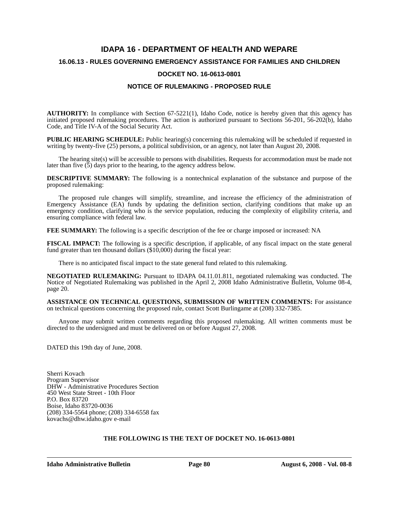# **IDAPA 16 - DEPARTMENT OF HEALTH AND WEPARE 16.06.13 - RULES GOVERNING EMERGENCY ASSISTANCE FOR FAMILIES AND CHILDREN DOCKET NO. 16-0613-0801**

#### **NOTICE OF RULEMAKING - PROPOSED RULE**

**AUTHORITY:** In compliance with Section 67-5221(1), Idaho Code, notice is hereby given that this agency has initiated proposed rulemaking procedures. The action is authorized pursuant to Sections 56-201, 56-202(b), Idaho Code, and Title IV-A of the Social Security Act.

**PUBLIC HEARING SCHEDULE:** Public hearing(s) concerning this rulemaking will be scheduled if requested in writing by twenty-five (25) persons, a political subdivision, or an agency, not later than August 20, 2008.

The hearing site(s) will be accessible to persons with disabilities. Requests for accommodation must be made not later than five  $(5)$  days prior to the hearing, to the agency address below.

**DESCRIPTIVE SUMMARY:** The following is a nontechnical explanation of the substance and purpose of the proposed rulemaking:

The proposed rule changes will simplify, streamline, and increase the efficiency of the administration of Emergency Assistance (EA) funds by updating the definition section, clarifying conditions that make up an emergency condition, clarifying who is the service population, reducing the complexity of eligibility criteria, and ensuring compliance with federal law.

**FEE SUMMARY:** The following is a specific description of the fee or charge imposed or increased: NA

**FISCAL IMPACT:** The following is a specific description, if applicable, of any fiscal impact on the state general fund greater than ten thousand dollars (\$10,000) during the fiscal year:

There is no anticipated fiscal impact to the state general fund related to this rulemaking.

**NEGOTIATED RULEMAKING:** Pursuant to IDAPA 04.11.01.811, negotiated rulemaking was conducted. The Notice of Negotiated Rulemaking was published in the April 2, 2008 Idaho Administrative Bulletin, Volume 08-4, page 20.

**ASSISTANCE ON TECHNICAL QUESTIONS, SUBMISSION OF WRITTEN COMMENTS:** For assistance on technical questions concerning the proposed rule, contact Scott Burlingame at (208) 332-7385.

Anyone may submit written comments regarding this proposed rulemaking. All written comments must be directed to the undersigned and must be delivered on or before August 27, 2008.

DATED this 19th day of June, 2008.

Sherri Kovach Program Supervisor DHW - Administrative Procedures Section 450 West State Street - 10th Floor P.O. Box 83720 Boise, Idaho 83720-0036 (208) 334-5564 phone; (208) 334-6558 fax kovachs@dhw.idaho.gov e-mail

#### **THE FOLLOWING IS THE TEXT OF DOCKET NO. 16-0613-0801**

**Idaho Administrative Bulletin Page 80 August 6, 2008 - Vol. 08-8**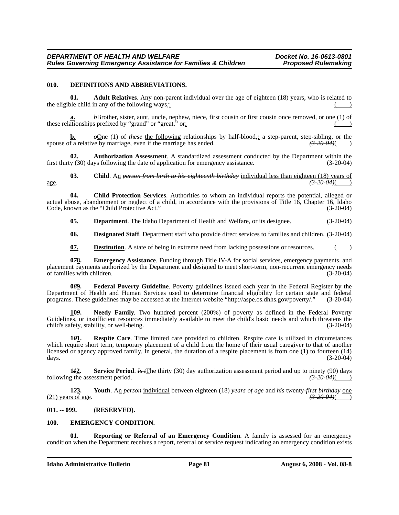#### **010. DEFINITIONS AND ABBREVIATIONS.**

**01. Adult Relatives**. Any non-parent individual over the age of eighteen (18) years, who is related to the eligible child in any of the following ways<sub>*;*</sub>:

**b**Brother, sister, aunt, uncle, nephew, niece, first cousin or first cousin once removed, or one (1) of these relationships prefixed by "grand" or "great," or:  $\overline{() \cup \overline{() \cup \overline{() \cup \overline{() \cup \overline{() \cup \overline{() \cup \overline{() \cup \overline{() \cup \overline{() \cup \overline{() \cup \overline{() \cup \overline{() \cup \overline{() \cup \overline{() \cup \overline{() \cup \overline{() \cup \overline{() \cup \overline{() \cup \overline{() \cup \overline{() \cup \overline{() \cup \overline{() \cup \overline{() \cup \overline$ 

**b.**  $\theta$ One (1) of *these* the following relationships by half-blood<sub>7</sub>: a step-parent, step-sibling, or the f a relative by marriage, even if the marriage has ended.  $\left(\frac{3.20 \text{ dA}}{\sqrt{20.04}}\right)$ spouse of a relative by marriage, even if the marriage has ended.

**02. Authorization Assessment**. A standardized assessment conducted by the Department within the first thirty (30) days following the date of application for emergency assistance. (3-20-04)

**03.** Child. An *person from birth to his eighteenth birthday* individual less than eighteen (18) years of age. *(3-20-04)*( )

**04. Child Protection Services**. Authorities to whom an individual reports the potential, alleged or actual abuse, abandonment or neglect of a child, in accordance with the provisions of Title 16, Chapter 16, Idaho Code, known as the "Child Protective Act." (3-20-04)

**05. Department**. The Idaho Department of Health and Welfare, or its designee. (3-20-04)

**06. Designated Staff**. Department staff who provide direct services to families and children. (3-20-04)

**07. Destitution**. A state of being in extreme need from lacking possessions or resources.

**Emergency Assistance**. Funding through Title IV-A for social services, emergency payments, and placement payments authorized by the Department and designed to meet short-term, non-recurrent emergency needs<br>of families with children. (3-20-04) of families with children.

**0***8***9. Federal Poverty Guideline**. Poverty guidelines issued each year in the Federal Register by the Department of Health and Human Services used to determine financial eligibility for certain state and federal programs. These guidelines may be accessed at the Internet website "http://aspe.os.dhhs.gov/poverty." (3-20-04) programs. These guidelines may be accessed at the Internet website "http://aspe.os.dhhs.gov/poverty/."

**10***9***. Needy Family**. Two hundred percent (200%) of poverty as defined in the Federal Poverty Guidelines, or insufficient resources immediately available to meet the child's basic needs and which threatens the child's safety, stability, or well-being. (3-20-04)

**1***0***1. Respite Care**. Time limited care provided to children. Respite care is utilized in circumstances which require short term, temporary placement of a child from the home of their usual caregiver to that of another licensed or agency approved family. In general, the duration of a respite placement is from one (1) to fourteen (14) days. (3-20-04) days. (3-20-04)

**1***1***2. Service Period**. *Is t*The thirty (30) day authorization assessment period and up to ninety (90) days following the assessment period. *(3-20-04)*( )

**1***2***3. Youth**. An *person* individual between eighteen (18) *years of age* and *his* twenty-*first birthday* one (21) years of age. *(3-20-04)*( )

#### **011. -- 099. (RESERVED).**

#### **100. EMERGENCY CONDITION.**

**Reporting or Referral of an Emergency Condition.** A family is assessed for an emergency condition when the Department receives a report, referral or service request indicating an emergency condition exists